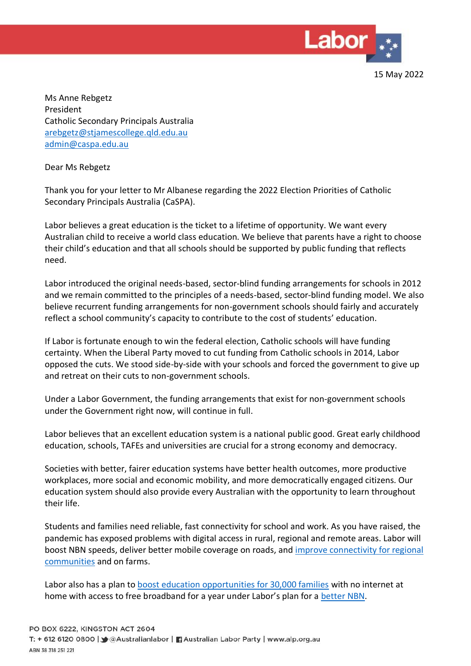

15 May 2022

Ms Anne Rebgetz President Catholic Secondary Principals Australia [arebgetz@stjamescollege.qld.edu.au](mailto:arebgetz@stjamescollege.qld.edu.au) [admin@caspa.edu.au](mailto:admin@caspa.edu.au)

Dear Ms Rebgetz

Thank you for your letter to Mr Albanese regarding the 2022 Election Priorities of Catholic Secondary Principals Australia (CaSPA).

Labor believes a great education is the ticket to a lifetime of opportunity. We want every Australian child to receive a world class education. We believe that parents have a right to choose their child's education and that all schools should be supported by public funding that reflects need.

Labor introduced the original needs-based, sector-blind funding arrangements for schools in 2012 and we remain committed to the principles of a needs-based, sector-blind funding model. We also believe recurrent funding arrangements for non-government schools should fairly and accurately reflect a school community's capacity to contribute to the cost of students' education.

If Labor is fortunate enough to win the federal election, Catholic schools will have funding certainty. When the Liberal Party moved to cut funding from Catholic schools in 2014, Labor opposed the cuts. We stood side-by-side with your schools and forced the government to give up and retreat on their cuts to non-government schools.

Under a Labor Government, the funding arrangements that exist for non-government schools under the Government right now, will continue in full.

Labor believes that an excellent education system is a national public good. Great early childhood education, schools, TAFEs and universities are crucial for a strong economy and democracy.

Societies with better, fairer education systems have better health outcomes, more productive workplaces, more social and economic mobility, and more democratically engaged citizens. Our education system should also provide every Australian with the opportunity to learn throughout their life.

Students and families need reliable, fast connectivity for school and work. As you have raised, the pandemic has exposed problems with digital access in rural, regional and remote areas. Labor will boost NBN speeds, deliver better mobile coverage on roads, and [improve connectivity for regional](https://www.alp.org.au/policies/better-connectivity-for-rural-and-regional-australia-plan)  [communities](https://www.alp.org.au/policies/better-connectivity-for-rural-and-regional-australia-plan) and on farms.

Labor also has a plan to [boost education opportunities for 30,000 families](https://www.tanyaplibersek.com/media/media-releases/media-release-albanese-plibersek-rowland-labor-s-plan-to-boost-education-opportunities-for-30-000-families-thursday-18-november-2021/?msclkid=aacb7511d0f211ecba9f186fd00d74c3) with no internet at home with access to free broadband for a year under Labor's plan for a [better NBN.](https://www.alp.org.au/policies/fixing-the-nbn)